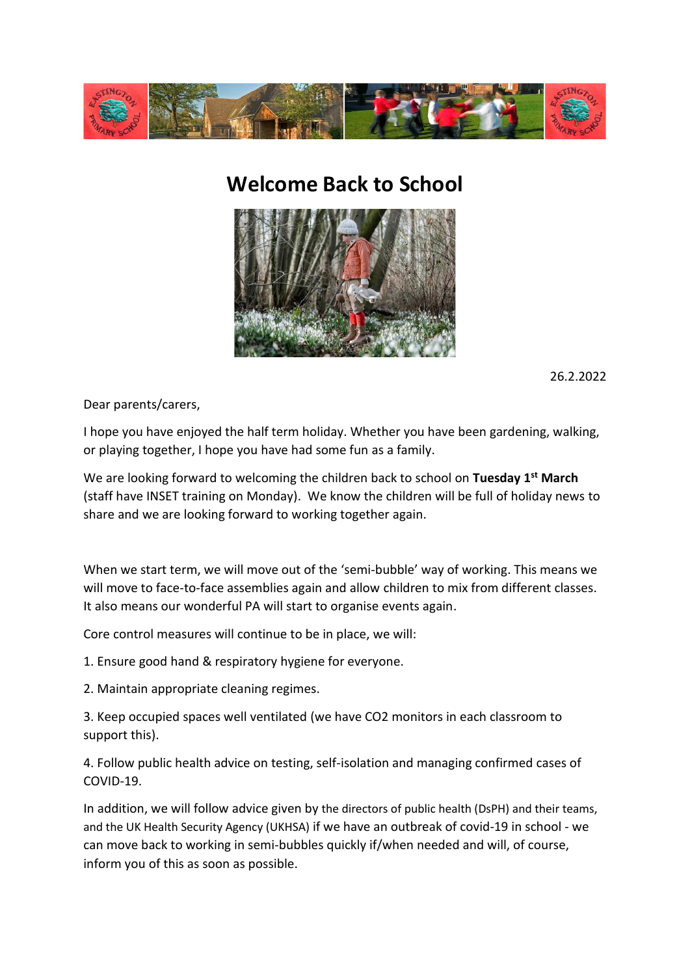

## **Welcome Back to School**



26.2.2022

Dear parents/carers,

I hope you have enjoyed the half term holiday. Whether you have been gardening, walking, or playing together, I hope you have had some fun as a family.

We are looking forward to welcoming the children back to school on **Tuesday 1st March** (staff have INSET training on Monday). We know the children will be full of holiday news to share and we are looking forward to working together again.

When we start term, we will move out of the 'semi-bubble' way of working. This means we will move to face-to-face assemblies again and allow children to mix from different classes. It also means our wonderful PA will start to organise events again.

Core control measures will continue to be in place, we will:

1. Ensure good hand & respiratory hygiene for everyone.

2. Maintain appropriate cleaning regimes.

3. Keep occupied spaces well ventilated (we have CO2 monitors in each classroom to support this).

4. Follow public health advice on testing, self-isolation and managing confirmed cases of COVID-19.

In addition, we will follow advice given by the directors of public health (DsPH) and their teams, and the UK Health Security Agency (UKHSA) if we have an outbreak of covid-19 in school - we can move back to working in semi-bubbles quickly if/when needed and will, of course, inform you of this as soon as possible.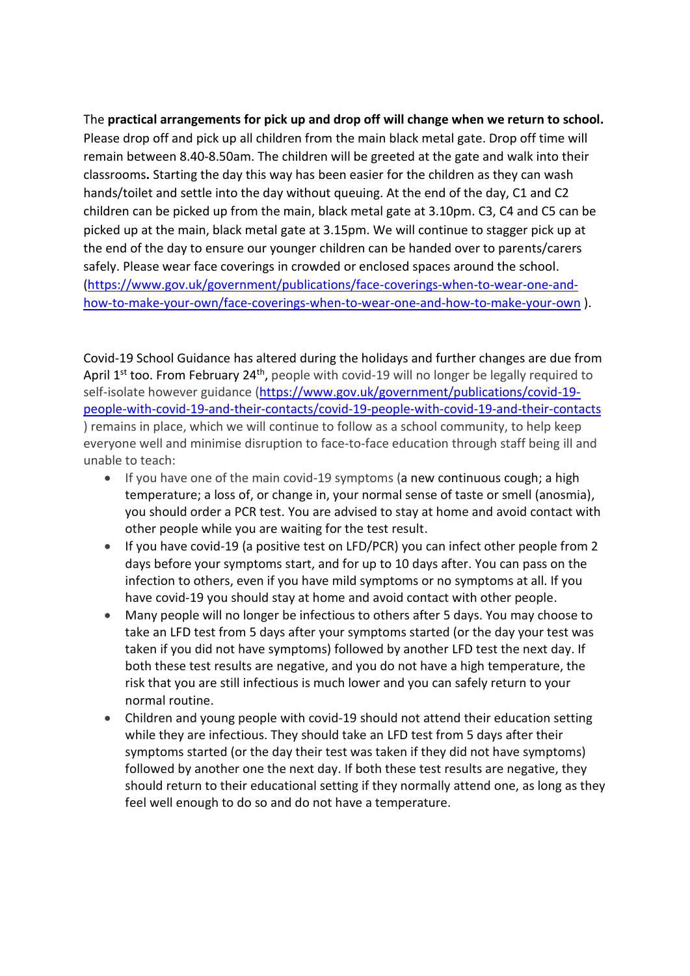The **practical arrangements for pick up and drop off will change when we return to school.**  Please drop off and pick up all children from the main black metal gate. Drop off time will remain between 8.40-8.50am. The children will be greeted at the gate and walk into their classrooms**.** Starting the day this way has been easier for the children as they can wash hands/toilet and settle into the day without queuing. At the end of the day, C1 and C2 children can be picked up from the main, black metal gate at 3.10pm. C3, C4 and C5 can be picked up at the main, black metal gate at 3.15pm. We will continue to stagger pick up at the end of the day to ensure our younger children can be handed over to parents/carers safely. Please wear face coverings in crowded or enclosed spaces around the school. [\(https://www.gov.uk/government/publications/face-coverings-when-to-wear-one-and](https://www.gov.uk/government/publications/face-coverings-when-to-wear-one-and-how-to-make-your-own/face-coverings-when-to-wear-one-and-how-to-make-your-own)[how-to-make-your-own/face-coverings-when-to-wear-one-and-how-to-make-your-own](https://www.gov.uk/government/publications/face-coverings-when-to-wear-one-and-how-to-make-your-own/face-coverings-when-to-wear-one-and-how-to-make-your-own) ).

Covid-19 School Guidance has altered during the holidays and further changes are due from April 1<sup>st</sup> too. From February 24<sup>th</sup>, people with covid-19 will no longer be legally required to self-isolate however guidance [\(https://www.gov.uk/government/publications/covid-19](https://www.gov.uk/government/publications/covid-19-people-with-covid-19-and-their-contacts/covid-19-people-with-covid-19-and-their-contacts) [people-with-covid-19-and-their-contacts/covid-19-people-with-covid-19-and-their-contacts](https://www.gov.uk/government/publications/covid-19-people-with-covid-19-and-their-contacts/covid-19-people-with-covid-19-and-their-contacts) ) remains in place, which we will continue to follow as a school community, to help keep everyone well and minimise disruption to face-to-face education through staff being ill and unable to teach:

- If you have one of the main covid-19 symptoms (a new continuous cough; a high temperature; a loss of, or change in, your normal sense of taste or smell (anosmia), you should order a PCR test. You are advised to stay at home and avoid contact with other people while you are waiting for the test result.
- If you have covid-19 (a positive test on LFD/PCR) you can infect other people from 2 days before your symptoms start, and for up to 10 days after. You can pass on the infection to others, even if you have mild symptoms or no symptoms at all. If you have covid-19 you should stay at home and avoid contact with other people.
- Many people will no longer be infectious to others after 5 days. You may choose to take an LFD test from 5 days after your symptoms started (or the day your test was taken if you did not have symptoms) followed by another LFD test the next day. If both these test results are negative, and you do not have a high temperature, the risk that you are still infectious is much lower and you can safely return to your normal routine.
- Children and young people with covid-19 should not attend their education setting while they are infectious. They should take an LFD test from 5 days after their symptoms started (or the day their test was taken if they did not have symptoms) followed by another one the next day. If both these test results are negative, they should return to their educational setting if they normally attend one, as long as they feel well enough to do so and do not have a temperature.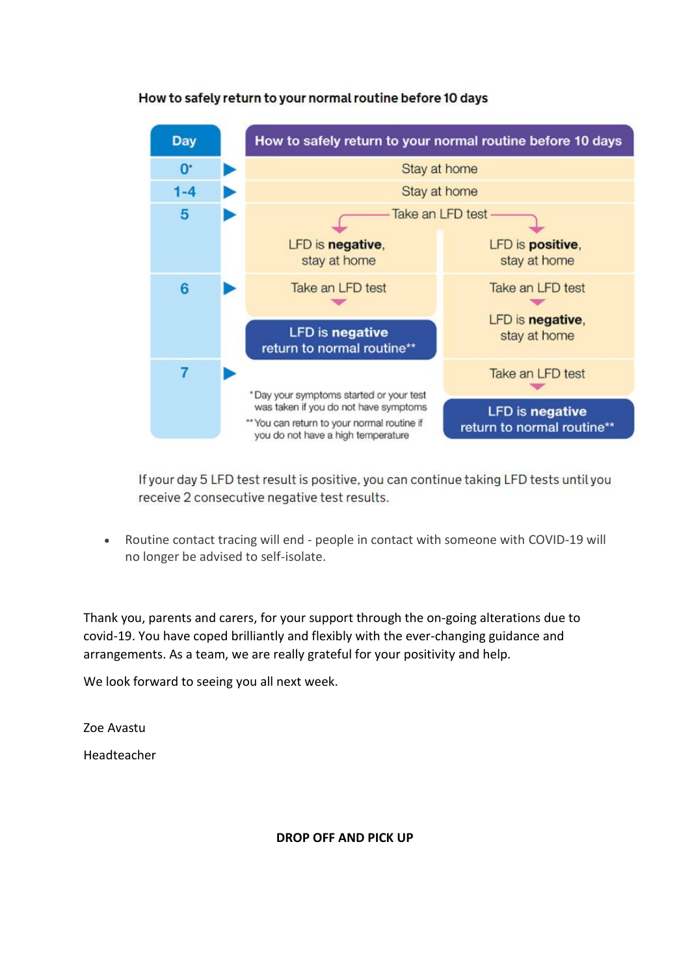

## How to safely return to your normal routine before 10 days

If your day 5 LFD test result is positive, you can continue taking LFD tests until you receive 2 consecutive negative test results.

• Routine contact tracing will end - people in contact with someone with COVID-19 will no longer be advised to self-isolate.

Thank you, parents and carers, for your support through the on-going alterations due to covid-19. You have coped brilliantly and flexibly with the ever-changing guidance and arrangements. As a team, we are really grateful for your positivity and help.

We look forward to seeing you all next week.

Zoe Avastu

Headteacher

## **DROP OFF AND PICK UP**